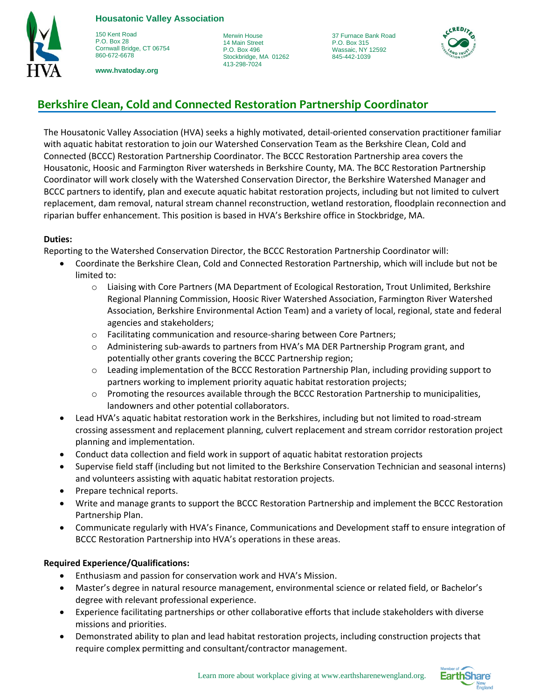

150 Kent Road P.O. Box 28 Cornwall Bridge, CT 06754 860-672-6678

**www.hvatoday.org**

Merwin House 14 Main Street P.O. Box 496 Stockbridge, MA 01262 413-298-7024

37 Furnace Bank Road P.O. Box 315 Wassaic, NY 12592 845-442-1039



# **Berkshire Clean, Cold and Connected Restoration Partnership Coordinator**

The Housatonic Valley Association (HVA) seeks a highly motivated, detail-oriented conservation practitioner familiar with aquatic habitat restoration to join our Watershed Conservation Team as the Berkshire Clean, Cold and Connected (BCCC) Restoration Partnership Coordinator. The BCCC Restoration Partnership area covers the Housatonic, Hoosic and Farmington River watersheds in Berkshire County, MA. The BCC Restoration Partnership Coordinator will work closely with the Watershed Conservation Director, the Berkshire Watershed Manager and BCCC partners to identify, plan and execute aquatic habitat restoration projects, including but not limited to culvert replacement, dam removal, natural stream channel reconstruction, wetland restoration, floodplain reconnection and riparian buffer enhancement. This position is based in HVA's Berkshire office in Stockbridge, MA.

### **Duties:**

Reporting to the Watershed Conservation Director, the BCCC Restoration Partnership Coordinator will:

- Coordinate the Berkshire Clean, Cold and Connected Restoration Partnership, which will include but not be limited to:
	- o Liaising with Core Partners (MA Department of Ecological Restoration, Trout Unlimited, Berkshire Regional Planning Commission, Hoosic River Watershed Association, Farmington River Watershed Association, Berkshire Environmental Action Team) and a variety of local, regional, state and federal agencies and stakeholders;
	- o Facilitating communication and resource-sharing between Core Partners;
	- o Administering sub-awards to partners from HVA's MA DER Partnership Program grant, and potentially other grants covering the BCCC Partnership region;
	- $\circ$  Leading implementation of the BCCC Restoration Partnership Plan, including providing support to partners working to implement priority aquatic habitat restoration projects;
	- o Promoting the resources available through the BCCC Restoration Partnership to municipalities, landowners and other potential collaborators.
- Lead HVA's aquatic habitat restoration work in the Berkshires, including but not limited to road-stream crossing assessment and replacement planning, culvert replacement and stream corridor restoration project planning and implementation.
- Conduct data collection and field work in support of aquatic habitat restoration projects
- Supervise field staff (including but not limited to the Berkshire Conservation Technician and seasonal interns) and volunteers assisting with aquatic habitat restoration projects.
- Prepare technical reports.
- Write and manage grants to support the BCCC Restoration Partnership and implement the BCCC Restoration Partnership Plan.
- Communicate regularly with HVA's Finance, Communications and Development staff to ensure integration of BCCC Restoration Partnership into HVA's operations in these areas.

## **Required Experience/Qualifications:**

- Enthusiasm and passion for conservation work and HVA's Mission.
- Master's degree in natural resource management, environmental science or related field, or Bachelor's degree with relevant professional experience.
- Experience facilitating partnerships or other collaborative efforts that include stakeholders with diverse missions and priorities.
- Demonstrated ability to plan and lead habitat restoration projects, including construction projects that require complex permitting and consultant/contractor management.

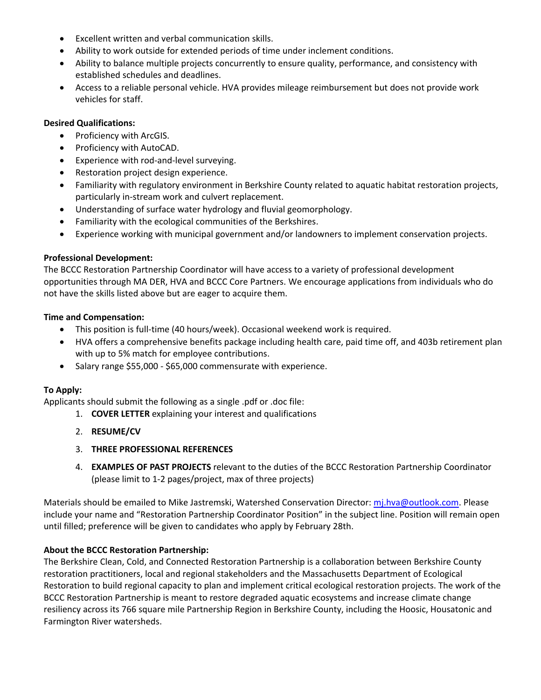- Excellent written and verbal communication skills.
- Ability to work outside for extended periods of time under inclement conditions.
- Ability to balance multiple projects concurrently to ensure quality, performance, and consistency with established schedules and deadlines.
- Access to a reliable personal vehicle. HVA provides mileage reimbursement but does not provide work vehicles for staff.

#### **Desired Qualifications:**

- Proficiency with ArcGIS.
- Proficiency with AutoCAD.
- Experience with rod-and-level surveying.
- Restoration project design experience.
- Familiarity with regulatory environment in Berkshire County related to aquatic habitat restoration projects, particularly in-stream work and culvert replacement.
- Understanding of surface water hydrology and fluvial geomorphology.
- Familiarity with the ecological communities of the Berkshires.
- Experience working with municipal government and/or landowners to implement conservation projects.

#### **Professional Development:**

The BCCC Restoration Partnership Coordinator will have access to a variety of professional development opportunities through MA DER, HVA and BCCC Core Partners. We encourage applications from individuals who do not have the skills listed above but are eager to acquire them.

#### **Time and Compensation:**

- This position is full-time (40 hours/week). Occasional weekend work is required.
- HVA offers a comprehensive benefits package including health care, paid time off, and 403b retirement plan with up to 5% match for employee contributions.
- Salary range \$55,000 \$65,000 commensurate with experience.

#### **To Apply:**

Applicants should submit the following as a single .pdf or .doc file:

- 1. **COVER LETTER** explaining your interest and qualifications
- 2. **RESUME/CV**
- 3. **THREE PROFESSIONAL REFERENCES**
- 4. **EXAMPLES OF PAST PROJECTS** relevant to the duties of the BCCC Restoration Partnership Coordinator (please limit to 1-2 pages/project, max of three projects)

Materials should be emailed to Mike Jastremski, Watershed Conservation Director: [mj.hva@outlook.com.](mailto:mj.hva@outlook.com) Please include your name and "Restoration Partnership Coordinator Position" in the subject line. Position will remain open until filled; preference will be given to candidates who apply by February 28th.

#### **About the BCCC Restoration Partnership:**

The Berkshire Clean, Cold, and Connected Restoration Partnership is a collaboration between Berkshire County restoration practitioners, local and regional stakeholders and the Massachusetts Department of Ecological Restoration to build regional capacity to plan and implement critical ecological restoration projects. The work of the BCCC Restoration Partnership is meant to restore degraded aquatic ecosystems and increase climate change resiliency across its 766 square mile Partnership Region in Berkshire County, including the Hoosic, Housatonic and Farmington River watersheds.